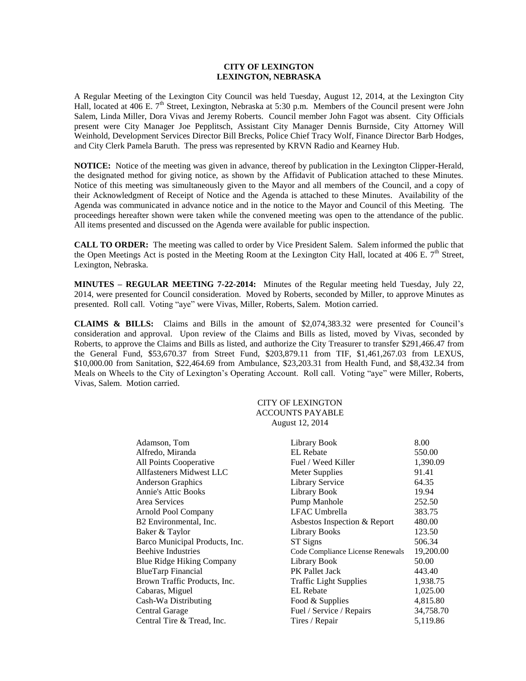## **CITY OF LEXINGTON LEXINGTON, NEBRASKA**

A Regular Meeting of the Lexington City Council was held Tuesday, August 12, 2014, at the Lexington City Hall, located at 406 E.  $7^{\text{th}}$  Street, Lexington, Nebraska at 5:30 p.m. Members of the Council present were John Salem, Linda Miller, Dora Vivas and Jeremy Roberts. Council member John Fagot was absent. City Officials present were City Manager Joe Pepplitsch, Assistant City Manager Dennis Burnside, City Attorney Will Weinhold, Development Services Director Bill Brecks, Police Chief Tracy Wolf, Finance Director Barb Hodges, and City Clerk Pamela Baruth. The press was represented by KRVN Radio and Kearney Hub.

**NOTICE:** Notice of the meeting was given in advance, thereof by publication in the Lexington Clipper-Herald, the designated method for giving notice, as shown by the Affidavit of Publication attached to these Minutes. Notice of this meeting was simultaneously given to the Mayor and all members of the Council, and a copy of their Acknowledgment of Receipt of Notice and the Agenda is attached to these Minutes. Availability of the Agenda was communicated in advance notice and in the notice to the Mayor and Council of this Meeting. The proceedings hereafter shown were taken while the convened meeting was open to the attendance of the public. All items presented and discussed on the Agenda were available for public inspection.

**CALL TO ORDER:** The meeting was called to order by Vice President Salem. Salem informed the public that the Open Meetings Act is posted in the Meeting Room at the Lexington City Hall, located at 406 E.  $7<sup>th</sup>$  Street, Lexington, Nebraska.

**MINUTES – REGULAR MEETING 7-22-2014:** Minutes of the Regular meeting held Tuesday, July 22, 2014, were presented for Council consideration. Moved by Roberts, seconded by Miller, to approve Minutes as presented. Roll call. Voting "aye" were Vivas, Miller, Roberts, Salem. Motion carried.

**CLAIMS & BILLS:** Claims and Bills in the amount of \$2,074,383.32 were presented for Council's consideration and approval. Upon review of the Claims and Bills as listed, moved by Vivas, seconded by Roberts, to approve the Claims and Bills as listed, and authorize the City Treasurer to transfer \$291,466.47 from the General Fund, \$53,670.37 from Street Fund, \$203,879.11 from TIF, \$1,461,267.03 from LEXUS, \$10,000.00 from Sanitation, \$22,464.69 from Ambulance, \$23,203.31 from Health Fund, and \$8,432.34 from Meals on Wheels to the City of Lexington's Operating Account. Roll call. Voting "aye" were Miller, Roberts, Vivas, Salem. Motion carried.

## CITY OF LEXINGTON ACCOUNTS PAYABLE August 12, 2014

| Adamson, Tom                     | Library Book                     | 8.00      |
|----------------------------------|----------------------------------|-----------|
| Alfredo, Miranda                 | EL Rebate                        | 550.00    |
| All Points Cooperative           | Fuel / Weed Killer               | 1,390.09  |
| Allfasteners Midwest LLC         | <b>Meter Supplies</b>            | 91.41     |
| <b>Anderson Graphics</b>         | <b>Library Service</b>           | 64.35     |
| <b>Annie's Attic Books</b>       | Library Book                     | 19.94     |
| Area Services                    | Pump Manhole                     | 252.50    |
| <b>Arnold Pool Company</b>       | LFAC Umbrella                    | 383.75    |
| B2 Environmental, Inc.           | Asbestos Inspection & Report     | 480.00    |
| Baker & Taylor                   | <b>Library Books</b>             | 123.50    |
| Barco Municipal Products, Inc.   | ST Signs                         | 506.34    |
| <b>Beehive Industries</b>        | Code Compliance License Renewals | 19,200.00 |
| <b>Blue Ridge Hiking Company</b> | Library Book                     | 50.00     |
| BlueTarp Financial               | <b>PK</b> Pallet Jack            | 443.40    |
| Brown Traffic Products, Inc.     | <b>Traffic Light Supplies</b>    | 1,938.75  |
| Cabaras, Miguel                  | EL Rebate                        | 1,025.00  |
| Cash-Wa Distributing             | Food & Supplies                  | 4,815.80  |
| Central Garage                   | Fuel / Service / Repairs         | 34,758.70 |
| Central Tire & Tread, Inc.       | Tires / Repair                   | 5,119.86  |
|                                  |                                  |           |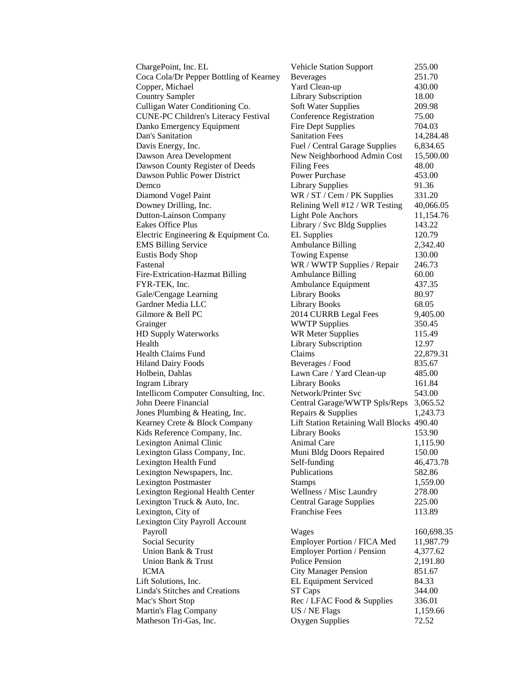| ChargePoint, Inc. EL                        | <b>Vehicle Station Support</b>            | 255.00     |
|---------------------------------------------|-------------------------------------------|------------|
| Coca Cola/Dr Pepper Bottling of Kearney     | <b>Beverages</b>                          | 251.70     |
| Copper, Michael                             | Yard Clean-up                             | 430.00     |
| <b>Country Sampler</b>                      | Library Subscription                      | 18.00      |
| Culligan Water Conditioning Co.             | Soft Water Supplies                       | 209.98     |
| <b>CUNE-PC Children's Literacy Festival</b> | <b>Conference Registration</b>            | 75.00      |
| Danko Emergency Equipment                   | <b>Fire Dept Supplies</b>                 | 704.03     |
| Dan's Sanitation                            | <b>Sanitation Fees</b>                    | 14,284.48  |
| Davis Energy, Inc.                          | Fuel / Central Garage Supplies            | 6,834.65   |
| Dawson Area Development                     | New Neighborhood Admin Cost               | 15,500.00  |
| Dawson County Register of Deeds             | <b>Filing Fees</b>                        | 48.00      |
| Dawson Public Power District                | <b>Power Purchase</b>                     | 453.00     |
| Demco                                       | <b>Library Supplies</b>                   | 91.36      |
| Diamond Vogel Paint                         | WR / ST / Cem / PK Supplies               | 331.20     |
| Downey Drilling, Inc.                       | Relining Well #12 / WR Testing            | 40,066.05  |
| <b>Dutton-Lainson Company</b>               | <b>Light Pole Anchors</b>                 | 11,154.76  |
| Eakes Office Plus                           | Library / Svc Bldg Supplies               | 143.22     |
| Electric Engineering & Equipment Co.        | <b>EL Supplies</b>                        | 120.79     |
| <b>EMS Billing Service</b>                  | <b>Ambulance Billing</b>                  | 2,342.40   |
| <b>Eustis Body Shop</b>                     | <b>Towing Expense</b>                     | 130.00     |
| Fastenal                                    | WR / WWTP Supplies / Repair               | 246.73     |
| Fire-Extrication-Hazmat Billing             | Ambulance Billing                         | 60.00      |
| FYR-TEK, Inc.                               | Ambulance Equipment                       | 437.35     |
| Gale/Cengage Learning                       | <b>Library Books</b>                      | 80.97      |
| Gardner Media LLC                           | <b>Library Books</b>                      | 68.05      |
| Gilmore & Bell PC                           | 2014 CURRB Legal Fees                     | 9,405.00   |
| Grainger                                    | <b>WWTP Supplies</b>                      | 350.45     |
| HD Supply Waterworks                        | <b>WR Meter Supplies</b>                  | 115.49     |
| Health                                      | Library Subscription                      | 12.97      |
| <b>Health Claims Fund</b>                   | Claims                                    | 22,879.31  |
| <b>Hiland Dairy Foods</b>                   | Beverages / Food                          | 835.67     |
| Holbein, Dahlas                             | Lawn Care / Yard Clean-up                 | 485.00     |
| <b>Ingram Library</b>                       | <b>Library Books</b>                      | 161.84     |
| Intellicom Computer Consulting, Inc.        | Network/Printer Svc                       | 543.00     |
| John Deere Financial                        | Central Garage/WWTP Spls/Reps             | 3,065.52   |
| Jones Plumbing & Heating, Inc.              | Repairs & Supplies                        | 1,243.73   |
| Kearney Crete & Block Company               | Lift Station Retaining Wall Blocks 490.40 |            |
| Kids Reference Company, Inc.                | <b>Library Books</b>                      | 153.90     |
| Lexington Animal Clinic                     | <b>Animal Care</b>                        | 1,115.90   |
| Lexington Glass Company, Inc.               | Muni Bldg Doors Repaired                  | 150.00     |
| Lexington Health Fund                       | Self-funding                              | 46,473.78  |
| Lexington Newspapers, Inc.                  | Publications                              | 582.86     |
| <b>Lexington Postmaster</b>                 | <b>Stamps</b>                             | 1,559.00   |
| Lexington Regional Health Center            | Wellness / Misc Laundry                   | 278.00     |
| Lexington Truck & Auto, Inc.                | <b>Central Garage Supplies</b>            | 225.00     |
| Lexington, City of                          | <b>Franchise Fees</b>                     | 113.89     |
| Lexington City Payroll Account              |                                           |            |
| Payroll                                     | Wages                                     | 160,698.35 |
| Social Security                             | Employer Portion / FICA Med               | 11,987.79  |
| Union Bank & Trust                          | <b>Employer Portion / Pension</b>         | 4,377.62   |
| Union Bank & Trust                          | Police Pension                            | 2,191.80   |
| <b>ICMA</b>                                 | <b>City Manager Pension</b>               | 851.67     |
| Lift Solutions, Inc.                        | <b>EL Equipment Serviced</b>              | 84.33      |
| <b>Linda's Stitches and Creations</b>       | ST Caps                                   | 344.00     |
| Mac's Short Stop                            | Rec / LFAC Food & Supplies                | 336.01     |
| Martin's Flag Company                       | US / NE Flags                             | 1,159.66   |
| Matheson Tri-Gas, Inc.                      | Oxygen Supplies                           | 72.52      |
|                                             |                                           |            |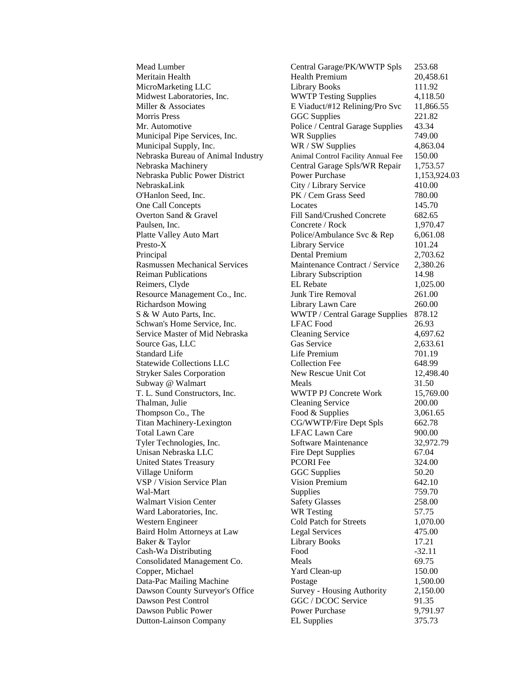Mead Lumber Central Garage/PK/WWTP Spls 253.68 Meritain Health **Health Premium** 20,458.61 MicroMarketing LLC Library Books 111.92 Midwest Laboratories, Inc. WWTP Testing Supplies 4,118.50 Miller & Associates **E** Viaduct/#12 Relining/Pro Svc 11,866.55 Morris Press 6GC Supplies 221.82 Mr. Automotive Police / Central Garage Supplies 43.34 Municipal Pipe Services, Inc. WR Supplies 749.00 Municipal Supply, Inc. WR / SW Supplies 4,863.04 Nebraska Bureau of Animal Industry Animal Control Facility Annual Fee 150.00 Nebraska Machinery Central Garage Spls/WR Repair 1,753.57 Nebraska Public Power District Power Purchase 1,153,924.03 NebraskaLink City / Library Service 410.00 O'Hanlon Seed, Inc. PK / Cem Grass Seed 780.00 One Call Concepts Locates 145.70 Overton Sand & Gravel Fill Sand/Crushed Concrete 682.65 Paulsen, Inc. Concrete / Rock 1,970.47 Platte Valley Auto Mart Police/Ambulance Svc & Rep 6,061.08 Presto-X 101.24 Principal Dental Premium 2,703.62 Rasmussen Mechanical Services Maintenance Contract / Service 2,380.26 Reiman Publications **Library Subscription** 14.98 Reimers, Clyde EL Rebate 1,025.00 Resource Management Co., Inc. Junk Tire Removal 261.00 Richardson Mowing Library Lawn Care 260.00 S & W Auto Parts, Inc. WWTP / Central Garage Supplies 878.12 Schwan's Home Service, Inc. CHEAC Food 26.93 Service Master of Mid Nebraska Cleaning Service 4,697.62 Source Gas, LLC Gas Service 2,633.61 Standard Life **Life Premium** 701.19 Statewide Collections LLC Collection Fee 648.99 Stryker Sales Corporation New Rescue Unit Cot 12,498.40 Subway @ Walmart Meals Meals 31.50 T. L. Sund Constructors, Inc. WWTP PJ Concrete Work 15,769.00 Thalman, Julie Cleaning Service 200.00 Thompson Co., The Food & Supplies 3,061.65 Titan Machinery-Lexington CG/WWTP/Fire Dept Spls 662.78 Total Lawn Care **LEAC Lawn Care** 900.00 Tyler Technologies, Inc. Software Maintenance 32,972.79 Unisan Nebraska LLC Fire Dept Supplies 67.04 United States Treasury PCORI Fee 324.00 Village Uniform GGC Supplies 50.20 VSP / Vision Service Plan Vision Premium 642.10 Wal-Mart Supplies 759.70 Walmart Vision Center Safety Glasses 258.00 Ward Laboratories, Inc. WR Testing 57.75 Western Engineer Cold Patch for Streets 1,070.00 Baird Holm Attorneys at Law Legal Services 475.00 Baker & Taylor **Library Books** 17.21 Cash-Wa Distributing Food Food -32.11 Consolidated Management Co. Meals 69.75 Copper, Michael Yard Clean-up 150.00 Data-Pac Mailing Machine **1,500.00** Postage 1,500.00 Dawson County Surveyor's Office Survey - Housing Authority 2,150.00 Dawson Pest Control GGC / DCOC Service 91.35 Dawson Public Power **Power Purchase** 9,791.97 Dutton-Lainson Company EL Supplies 375.73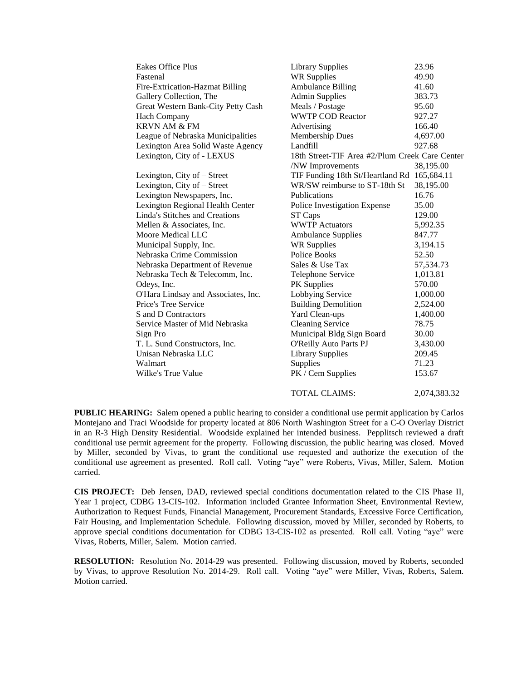| <b>Eakes Office Plus</b>              | <b>Library Supplies</b>                        | 23.96     |
|---------------------------------------|------------------------------------------------|-----------|
| Fastenal                              | <b>WR Supplies</b>                             | 49.90     |
| Fire-Extrication-Hazmat Billing       | <b>Ambulance Billing</b>                       | 41.60     |
| Gallery Collection, The               | <b>Admin Supplies</b>                          | 383.73    |
| Great Western Bank-City Petty Cash    | Meals / Postage                                | 95.60     |
| <b>Hach Company</b>                   | <b>WWTP COD Reactor</b>                        | 927.27    |
| <b>KRVN AM &amp; FM</b>               | Advertising                                    | 166.40    |
| League of Nebraska Municipalities     | Membership Dues                                | 4,697.00  |
| Lexington Area Solid Waste Agency     | Landfill                                       | 927.68    |
| Lexington, City of - LEXUS            | 18th Street-TIF Area #2/Plum Creek Care Center |           |
|                                       | /NW Improvements                               | 38,195.00 |
| Lexington, City of – Street           | TIF Funding 18th St/Heartland Rd 165,684.11    |           |
| Lexington, City of - Street           | WR/SW reimburse to ST-18th St                  | 38,195.00 |
| Lexington Newspapers, Inc.            | <b>Publications</b>                            | 16.76     |
| Lexington Regional Health Center      | Police Investigation Expense                   | 35.00     |
| <b>Linda's Stitches and Creations</b> | ST Caps                                        | 129.00    |
| Mellen & Associates, Inc.             | <b>WWTP Actuators</b>                          | 5,992.35  |
| Moore Medical LLC                     | <b>Ambulance Supplies</b>                      | 847.77    |
| Municipal Supply, Inc.                | <b>WR Supplies</b>                             | 3,194.15  |
| Nebraska Crime Commission             | Police Books                                   | 52.50     |
| Nebraska Department of Revenue        | Sales & Use Tax                                | 57,534.73 |
| Nebraska Tech & Telecomm, Inc.        | Telephone Service                              | 1,013.81  |
| Odeys, Inc.                           | PK Supplies                                    | 570.00    |
| O'Hara Lindsay and Associates, Inc.   | Lobbying Service                               | 1,000.00  |
| Price's Tree Service                  | <b>Building Demolition</b>                     | 2,524.00  |
| S and D Contractors                   | Yard Clean-ups                                 | 1,400.00  |
| Service Master of Mid Nebraska        | <b>Cleaning Service</b>                        | 78.75     |
| Sign Pro                              | Municipal Bldg Sign Board                      | 30.00     |
| T. L. Sund Constructors, Inc.         | <b>O'Reilly Auto Parts PJ</b>                  | 3,430.00  |
| Unisan Nebraska LLC                   | <b>Library Supplies</b>                        | 209.45    |
| Walmart                               | Supplies                                       | 71.23     |
| Wilke's True Value                    | PK / Cem Supplies                              | 153.67    |
|                                       |                                                |           |

TOTAL CLAIMS: 2,074,383.32

**PUBLIC HEARING:** Salem opened a public hearing to consider a conditional use permit application by Carlos Montejano and Traci Woodside for property located at 806 North Washington Street for a C-O Overlay District in an R-3 High Density Residential. Woodside explained her intended business. Pepplitsch reviewed a draft conditional use permit agreement for the property. Following discussion, the public hearing was closed. Moved by Miller, seconded by Vivas, to grant the conditional use requested and authorize the execution of the conditional use agreement as presented. Roll call. Voting "aye" were Roberts, Vivas, Miller, Salem. Motion carried.

**CIS PROJECT:** Deb Jensen, DAD, reviewed special conditions documentation related to the CIS Phase II, Year 1 project, CDBG 13-CIS-102. Information included Grantee Information Sheet, Environmental Review, Authorization to Request Funds, Financial Management, Procurement Standards, Excessive Force Certification, Fair Housing, and Implementation Schedule. Following discussion, moved by Miller, seconded by Roberts, to approve special conditions documentation for CDBG 13-CIS-102 as presented. Roll call. Voting "aye" were Vivas, Roberts, Miller, Salem. Motion carried.

**RESOLUTION:** Resolution No. 2014-29 was presented. Following discussion, moved by Roberts, seconded by Vivas, to approve Resolution No. 2014-29. Roll call. Voting "aye" were Miller, Vivas, Roberts, Salem. Motion carried.